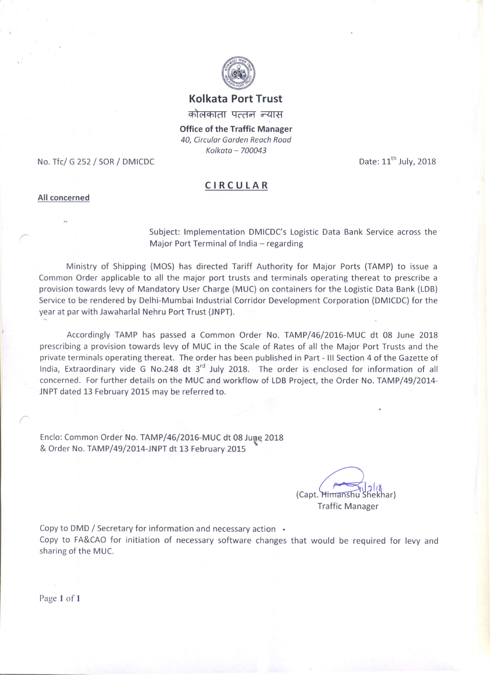

#### **Kolkata Port Trust**

कोलकाता पत्तन न्यास

**Office of the Traffic Manager** 40. Circular Garden Reach Road Kolkata - 700043

No. Tfc/ G 252 / SOR / DMICDC

Date: 11<sup>th</sup> July, 2018

#### CIRCULAR

#### All concerned

Subject: Implementation DMICDC's Logistic Data Bank Service across the Major Port Terminal of India - regarding

Ministry of Shipping (MOS) has directed Tariff Authority for Major Ports (TAMP) to issue a Common Order applicable to all the major port trusts and terminals operating thereat to prescribe a provision towards levy of Mandatory User Charge (MUC) on containers for the Logistic Data Bank (LDB) Service to be rendered by Delhi-Mumbai Industrial Corridor Development Corporation (DMICDC) for the year at par with Jawaharlal Nehru Port Trust (JNPT).

Accordingly TAMP has passed a Common Order No. TAMP/46/2016-MUC dt 08 June 2018 prescribing a provision towards levy of MUC in the Scale of Rates of all the Major Port Trusts and the private terminals operating thereat. The order has been published in Part - III Section 4 of the Gazette of India, Extraordinary vide G No.248 dt 3<sup>rd</sup> July 2018. The order is enclosed for information of all concerned. For further details on the MUC and workflow of LDB Project, the Order No. TAMP/49/2014-JNPT dated 13 February 2015 may be referred to.

Enclo: Common Order No. TAMP/46/2016-MUC dt 08 June 2018 & Order No. TAMP/49/2014-JNPT dt 13 February 2015

> (Capt. Himanshu **Traffic Manager**

Copy to DMD / Secretary for information and necessary action .

Copy to FA&CAO for initiation of necessary software changes that would be required for levy and sharing of the MUC.

Page 1 of 1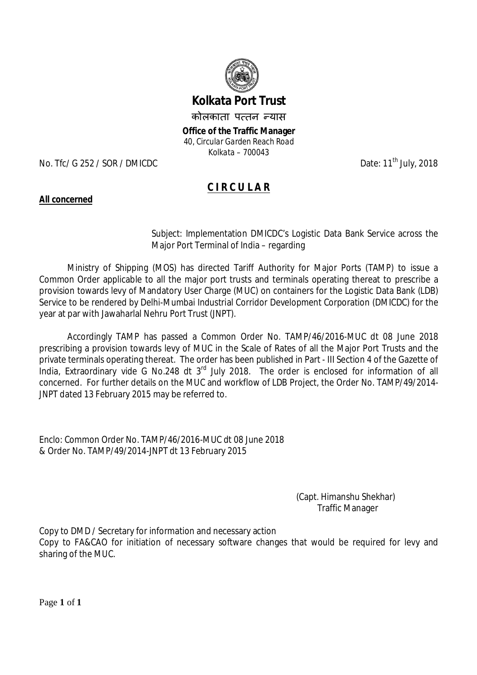

# **Kolkata Port Trust**

कोलकाता पत्तन न्यास

**Office of the Traffic Manager** *40, Circular Garden Reach Road Kolkata – 700043*

No. Tfc/ G 252 / SOR / DMICDC Date: 11<sup>th</sup> July, 2018

# **C I R C U L A R**

#### **All concerned**

Subject: Implementation DMICDC's Logistic Data Bank Service across the Major Port Terminal of India – regarding

Ministry of Shipping (MOS) has directed Tariff Authority for Major Ports (TAMP) to issue a Common Order applicable to all the major port trusts and terminals operating thereat to prescribe a provision towards levy of Mandatory User Charge (MUC) on containers for the Logistic Data Bank (LDB) Service to be rendered by Delhi-Mumbai Industrial Corridor Development Corporation (DMICDC) for the year at par with Jawaharlal Nehru Port Trust (JNPT).

Accordingly TAMP has passed a Common Order No. TAMP/46/2016-MUC dt 08 June 2018 prescribing a provision towards levy of MUC in the Scale of Rates of all the Major Port Trusts and the private terminals operating thereat. The order has been published in Part - III Section 4 of the Gazette of India, Extraordinary vide G No.248 dt 3rd July 2018. The order is enclosed for information of all concerned. For further details on the MUC and workflow of LDB Project, the Order No. TAMP/49/2014- JNPT dated 13 February 2015 may be referred to.

Enclo: Common Order No. TAMP/46/2016-MUC dt 08 June 2018 & Order No. TAMP/49/2014-JNPT dt 13 February 2015

> (Capt. Himanshu Shekhar) Traffic Manager

Copy to DMD / Secretary for information and necessary action Copy to FA&CAO for initiation of necessary software changes that would be required for levy and sharing of the MUC.

Page **1** of **1**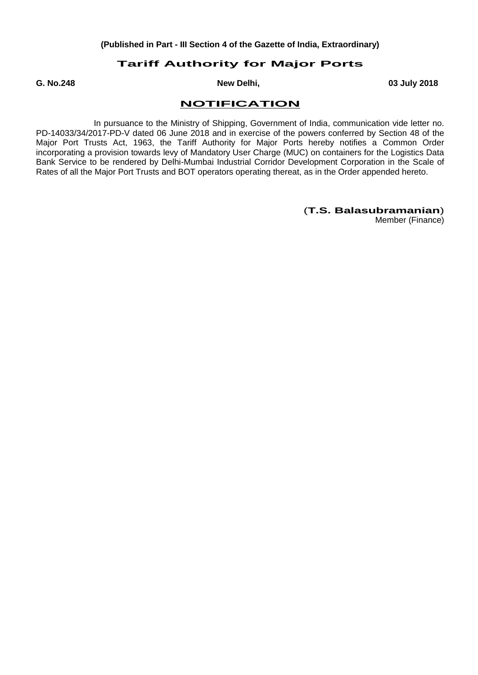#### **Tariff Authority for Major Ports**

**G. No.248 New Delhi, 03 July 2018**

#### **NOTIFICATION**

In pursuance to the Ministry of Shipping, Government of India, communication vide letter no. PD-14033/34/2017-PD-V dated 06 June 2018 and in exercise of the powers conferred by Section 48 of the Major Port Trusts Act, 1963, the Tariff Authority for Major Ports hereby notifies a Common Order incorporating a provision towards levy of Mandatory User Charge (MUC) on containers for the Logistics Data Bank Service to be rendered by Delhi-Mumbai Industrial Corridor Development Corporation in the Scale of Rates of all the Major Port Trusts and BOT operators operating thereat, as in the Order appended hereto.

#### (**T.S. Balasubramanian**)

Member (Finance)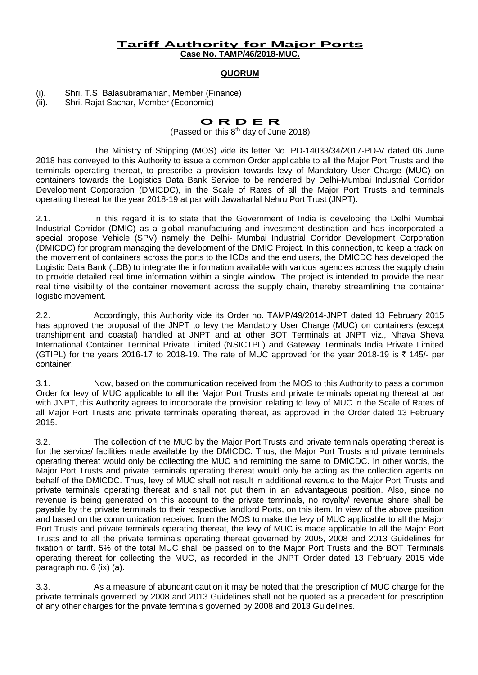#### **Tariff Authority for Major Ports Case No. TAMP/46/2018-MUC.**

#### **QUORUM**

(i). Shri. T.S. Balasubramanian, Member (Finance)

(ii). Shri. Rajat Sachar, Member (Economic)

# **O R D E R**

(Passed on this  $8<sup>th</sup>$  day of June 2018)

The Ministry of Shipping (MOS) vide its letter No. PD-14033/34/2017-PD-V dated 06 June 2018 has conveyed to this Authority to issue a common Order applicable to all the Major Port Trusts and the terminals operating thereat, to prescribe a provision towards levy of Mandatory User Charge (MUC) on containers towards the Logistics Data Bank Service to be rendered by Delhi-Mumbai Industrial Corridor Development Corporation (DMICDC), in the Scale of Rates of all the Major Port Trusts and terminals operating thereat for the year 2018-19 at par with Jawaharlal Nehru Port Trust (JNPT).

2.1. In this regard it is to state that the Government of India is developing the Delhi Mumbai Industrial Corridor (DMIC) as a global manufacturing and investment destination and has incorporated a special propose Vehicle (SPV) namely the Delhi- Mumbai Industrial Corridor Development Corporation (DMICDC) for program managing the development of the DMIC Project. In this connection, to keep a track on the movement of containers across the ports to the ICDs and the end users, the DMICDC has developed the Logistic Data Bank (LDB) to integrate the information available with various agencies across the supply chain to provide detailed real time information within a single window. The project is intended to provide the near real time visibility of the container movement across the supply chain, thereby streamlining the container logistic movement.

2.2. Accordingly, this Authority vide its Order no. TAMP/49/2014-JNPT dated 13 February 2015 has approved the proposal of the JNPT to levy the Mandatory User Charge (MUC) on containers (except transhipment and coastal) handled at JNPT and at other BOT Terminals at JNPT viz., Nhava Sheva International Container Terminal Private Limited (NSICTPL) and Gateway Terminals India Private Limited (GTIPL) for the years 2016-17 to 2018-19. The rate of MUC approved for the year 2018-19 is  $\bar{\tau}$  145/- per container.

3.1. Now, based on the communication received from the MOS to this Authority to pass a common Order for levy of MUC applicable to all the Major Port Trusts and private terminals operating thereat at par with JNPT, this Authority agrees to incorporate the provision relating to levy of MUC in the Scale of Rates of all Major Port Trusts and private terminals operating thereat, as approved in the Order dated 13 February 2015.

3.2. The collection of the MUC by the Major Port Trusts and private terminals operating thereat is for the service/ facilities made available by the DMICDC. Thus, the Major Port Trusts and private terminals operating thereat would only be collecting the MUC and remitting the same to DMICDC. In other words, the Major Port Trusts and private terminals operating thereat would only be acting as the collection agents on behalf of the DMICDC. Thus, levy of MUC shall not result in additional revenue to the Major Port Trusts and private terminals operating thereat and shall not put them in an advantageous position. Also, since no revenue is being generated on this account to the private terminals, no royalty/ revenue share shall be payable by the private terminals to their respective landlord Ports, on this item. In view of the above position and based on the communication received from the MOS to make the levy of MUC applicable to all the Major Port Trusts and private terminals operating thereat, the levy of MUC is made applicable to all the Major Port Trusts and to all the private terminals operating thereat governed by 2005, 2008 and 2013 Guidelines for fixation of tariff. 5% of the total MUC shall be passed on to the Major Port Trusts and the BOT Terminals operating thereat for collecting the MUC, as recorded in the JNPT Order dated 13 February 2015 vide paragraph no. 6 (ix) (a).

3.3. As a measure of abundant caution it may be noted that the prescription of MUC charge for the private terminals governed by 2008 and 2013 Guidelines shall not be quoted as a precedent for prescription of any other charges for the private terminals governed by 2008 and 2013 Guidelines.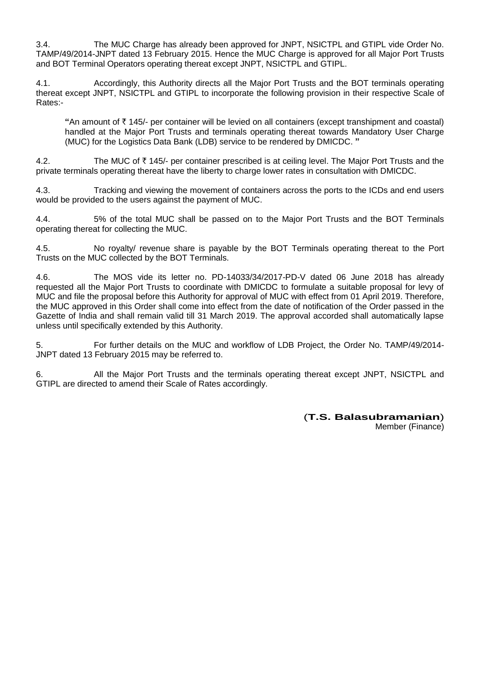3.4. The MUC Charge has already been approved for JNPT, NSICTPL and GTIPL vide Order No. TAMP/49/2014-JNPT dated 13 February 2015. Hence the MUC Charge is approved for all Major Port Trusts and BOT Terminal Operators operating thereat except JNPT, NSICTPL and GTIPL.

4.1. Accordingly, this Authority directs all the Major Port Trusts and the BOT terminals operating thereat except JNPT, NSICTPL and GTIPL to incorporate the following provision in their respective Scale of Rates:-

"An amount of  $\bar{\tau}$  145/- per container will be levied on all containers (except transhipment and coastal) handled at the Major Port Trusts and terminals operating thereat towards Mandatory User Charge (MUC) for the Logistics Data Bank (LDB) service to be rendered by DMICDC. **"**

4.2. The MUC of  $\bar{\tau}$  145/- per container prescribed is at ceiling level. The Major Port Trusts and the private terminals operating thereat have the liberty to charge lower rates in consultation with DMICDC.

4.3. Tracking and viewing the movement of containers across the ports to the ICDs and end users would be provided to the users against the payment of MUC.

4.4. 5% of the total MUC shall be passed on to the Major Port Trusts and the BOT Terminals operating thereat for collecting the MUC.

4.5. No royalty/ revenue share is payable by the BOT Terminals operating thereat to the Port Trusts on the MUC collected by the BOT Terminals.

4.6. The MOS vide its letter no. PD-14033/34/2017-PD-V dated 06 June 2018 has already requested all the Major Port Trusts to coordinate with DMICDC to formulate a suitable proposal for levy of MUC and file the proposal before this Authority for approval of MUC with effect from 01 April 2019. Therefore, the MUC approved in this Order shall come into effect from the date of notification of the Order passed in the Gazette of India and shall remain valid till 31 March 2019. The approval accorded shall automatically lapse unless until specifically extended by this Authority.

5. For further details on the MUC and workflow of LDB Project, the Order No. TAMP/49/2014- JNPT dated 13 February 2015 may be referred to.

6. All the Major Port Trusts and the terminals operating thereat except JNPT, NSICTPL and GTIPL are directed to amend their Scale of Rates accordingly.

#### (**T.S. Balasubramanian**)

Member (Finance)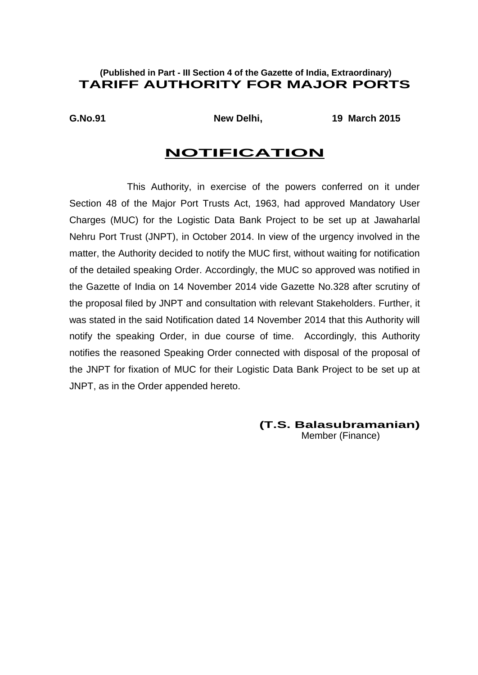### **(Published in Part - III Section 4 of the Gazette of India, Extraordinary) TARIFF AUTHORITY FOR MAJOR PORTS**

**G.No.91 New Delhi, 19 March 2015**

## **NOTIFICATION**

This Authority, in exercise of the powers conferred on it under Section 48 of the Major Port Trusts Act, 1963, had approved Mandatory User Charges (MUC) for the Logistic Data Bank Project to be set up at Jawaharlal Nehru Port Trust (JNPT), in October 2014. In view of the urgency involved in the matter, the Authority decided to notify the MUC first, without waiting for notification of the detailed speaking Order. Accordingly, the MUC so approved was notified in the Gazette of India on 14 November 2014 vide Gazette No.328 after scrutiny of the proposal filed by JNPT and consultation with relevant Stakeholders. Further, it was stated in the said Notification dated 14 November 2014 that this Authority will notify the speaking Order, in due course of time. Accordingly, this Authority notifies the reasoned Speaking Order connected with disposal of the proposal of the JNPT for fixation of MUC for their Logistic Data Bank Project to be set up at JNPT, as in the Order appended hereto.

**(T.S. Balasubramanian)**

Member (Finance)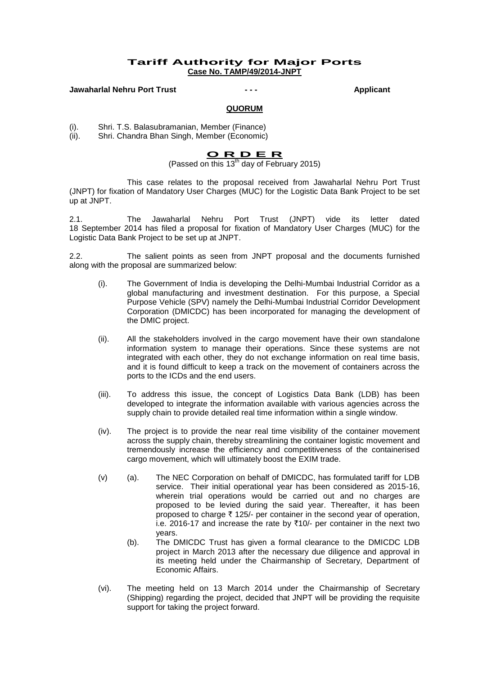#### **Tariff Authority for Major Ports Case No. TAMP/49/2014-JNPT**

**Jawaharlal Nehru Port Trust - - - Applicant**

#### **QUORUM**

(i). Shri. T.S. Balasubramanian, Member (Finance)<br>(ii). Shri. Chandra Bhan Singh, Member (Economic)

Shri. Chandra Bhan Singh, Member (Economic)

#### **O R D E R**

(Passed on this 13<sup>th</sup> day of February 2015)

This case relates to the proposal received from Jawaharlal Nehru Port Trust (JNPT) for fixation of Mandatory User Charges (MUC) for the Logistic Data Bank Project to be set up at JNPT.

2.1. The Jawaharlal Nehru Port Trust (JNPT) vide its letter dated 18 September 2014 has filed a proposal for fixation of Mandatory User Charges (MUC) for the Logistic Data Bank Project to be set up at JNPT.

2.2. The salient points as seen from JNPT proposal and the documents furnished along with the proposal are summarized below:

- (i). The Government of India is developing the Delhi-Mumbai Industrial Corridor as a global manufacturing and investment destination. For this purpose, a Special Purpose Vehicle (SPV) namely the Delhi-Mumbai Industrial Corridor Development Corporation (DMICDC) has been incorporated for managing the development of the DMIC project.
- (ii). All the stakeholders involved in the cargo movement have their own standalone information system to manage their operations. Since these systems are not integrated with each other, they do not exchange information on real time basis, and it is found difficult to keep a track on the movement of containers across the ports to the ICDs and the end users.
- (iii). To address this issue, the concept of Logistics Data Bank (LDB) has been developed to integrate the information available with various agencies across the supply chain to provide detailed real time information within a single window.
- (iv). The project is to provide the near real time visibility of the container movement across the supply chain, thereby streamlining the container logistic movement and tremendously increase the efficiency and competitiveness of the containerised cargo movement, which will ultimately boost the EXIM trade.
- (v) (a). The NEC Corporation on behalf of DMICDC, has formulated tariff for LDB service. Their initial operational year has been considered as 2015-16, wherein trial operations would be carried out and no charges are proposed to be levied during the said year. Thereafter, it has been proposed to charge  $\bar{\tau}$  125/- per container in the second year of operation, i.e. 2016-17 and increase the rate by  $\overline{\tau}$ 10/- per container in the next two years.
	- (b). The DMICDC Trust has given a formal clearance to the DMICDC LDB project in March 2013 after the necessary due diligence and approval in its meeting held under the Chairmanship of Secretary, Department of Economic Affairs.
- (vi). The meeting held on 13 March 2014 under the Chairmanship of Secretary (Shipping) regarding the project, decided that JNPT will be providing the requisite support for taking the project forward.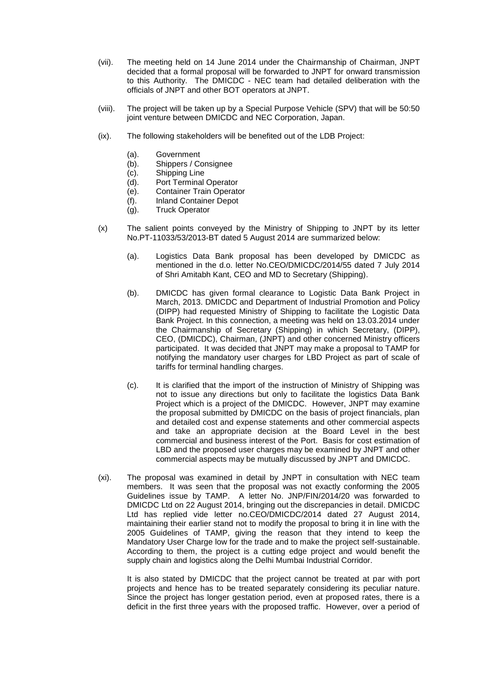- (vii). The meeting held on 14 June 2014 under the Chairmanship of Chairman, JNPT decided that a formal proposal will be forwarded to JNPT for onward transmission to this Authority. The DMICDC - NEC team had detailed deliberation with the officials of JNPT and other BOT operators at JNPT.
- (viii). The project will be taken up by a Special Purpose Vehicle (SPV) that will be 50:50 joint venture between DMICDC and NEC Corporation, Japan.
- (ix). The following stakeholders will be benefited out of the LDB Project:
	- (a). Government
	- (b). Shippers / Consignee
	- (c). Shipping Line
	- (d). Port Terminal Operator
	- (e). Container Train Operator
	- (f). Inland Container Depot
	- (g). Truck Operator
- (x) The salient points conveyed by the Ministry of Shipping to JNPT by its letter No.PT-11033/53/2013-BT dated 5 August 2014 are summarized below:
	- (a). Logistics Data Bank proposal has been developed by DMICDC as mentioned in the d.o. letter No.CEO/DMICDC/2014/55 dated 7 July 2014 of Shri Amitabh Kant, CEO and MD to Secretary (Shipping).
	- (b). DMICDC has given formal clearance to Logistic Data Bank Project in March, 2013. DMICDC and Department of Industrial Promotion and Policy (DIPP) had requested Ministry of Shipping to facilitate the Logistic Data Bank Project. In this connection, a meeting was held on 13.03.2014 under the Chairmanship of Secretary (Shipping) in which Secretary, (DIPP), CEO, (DMICDC), Chairman, (JNPT) and other concerned Ministry officers participated. It was decided that JNPT may make a proposal to TAMP for notifying the mandatory user charges for LBD Project as part of scale of tariffs for terminal handling charges.
	- (c). It is clarified that the import of the instruction of Ministry of Shipping was not to issue any directions but only to facilitate the logistics Data Bank Project which is a project of the DMICDC. However, JNPT may examine the proposal submitted by DMICDC on the basis of project financials, plan and detailed cost and expense statements and other commercial aspects and take an appropriate decision at the Board Level in the best commercial and business interest of the Port. Basis for cost estimation of LBD and the proposed user charges may be examined by JNPT and other commercial aspects may be mutually discussed by JNPT and DMICDC.
- (xi). The proposal was examined in detail by JNPT in consultation with NEC team members. It was seen that the proposal was not exactly conforming the 2005 Guidelines issue by TAMP. A letter No. JNP/FIN/2014/20 was forwarded to DMICDC Ltd on 22 August 2014, bringing out the discrepancies in detail. DMICDC Ltd has replied vide letter no.CEO/DMICDC/2014 dated 27 August 2014, maintaining their earlier stand not to modify the proposal to bring it in line with the 2005 Guidelines of TAMP, giving the reason that they intend to keep the Mandatory User Charge low for the trade and to make the project self-sustainable. According to them, the project is a cutting edge project and would benefit the supply chain and logistics along the Delhi Mumbai Industrial Corridor.

It is also stated by DMICDC that the project cannot be treated at par with port projects and hence has to be treated separately considering its peculiar nature. Since the project has longer gestation period, even at proposed rates, there is a deficit in the first three years with the proposed traffic. However, over a period of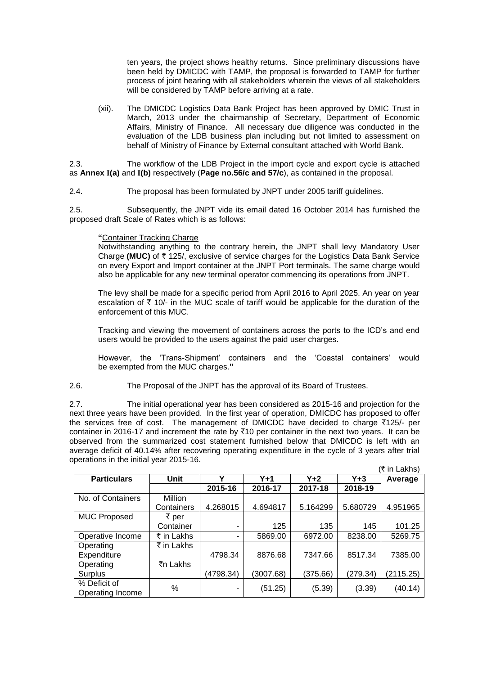ten years, the project shows healthy returns. Since preliminary discussions have been held by DMICDC with TAMP, the proposal is forwarded to TAMP for further process of joint hearing with all stakeholders wherein the views of all stakeholders will be considered by TAMP before arriving at a rate.

(xii). The DMICDC Logistics Data Bank Project has been approved by DMIC Trust in March, 2013 under the chairmanship of Secretary, Department of Economic Affairs, Ministry of Finance. All necessary due diligence was conducted in the evaluation of the LDB business plan including but not limited to assessment on behalf of Ministry of Finance by External consultant attached with World Bank.

2.3. The workflow of the LDB Project in the import cycle and export cycle is attached as **Annex I(a)** and **I(b)** respectively (**Page no.56/c and 57/c**), as contained in the proposal.

2.4. The proposal has been formulated by JNPT under 2005 tariff guidelines.

2.5. Subsequently, the JNPT vide its email dated 16 October 2014 has furnished the proposed draft Scale of Rates which is as follows:

#### **"**Container Tracking Charge

Notwithstanding anything to the contrary herein, the JNPT shall levy Mandatory User Charge (MUC) of  $\bar{\tau}$  125/, exclusive of service charges for the Logistics Data Bank Service on every Export and Import container at the JNPT Port terminals. The same charge would also be applicable for any new terminal operator commencing its operations from JNPT.

The levy shall be made for a specific period from April 2016 to April 2025. An year on year escalation of  $\bar{\tau}$  10/- in the MUC scale of tariff would be applicable for the duration of the enforcement of this MUC.

Tracking and viewing the movement of containers across the ports to the ICD's and end users would be provided to the users against the paid user charges.

However, the 'Trans-Shipment' containers and the 'Coastal containers' would be exempted from the MUC charges.**"**

#### 2.6. The Proposal of the JNPT has the approval of its Board of Trustees.

2.7. The initial operational year has been considered as 2015-16 and projection for the next three years have been provided. In the first year of operation, DMICDC has proposed to offer the services free of cost. The management of DMICDC have decided to charge  $\bar{\tau}$ 125/- per container in 2016-17 and increment the rate by  $\overline{10}$  per container in the next two years. It can be observed from the summarized cost statement furnished below that DMICDC is left with an average deficit of 40.14% after recovering operating expenditure in the cycle of 3 years after trial operations in the initial year 2015-16.

|                     |                |           |           |          |          | (₹ in Lakhs) |  |
|---------------------|----------------|-----------|-----------|----------|----------|--------------|--|
| <b>Particulars</b>  | Unit           | ν         | $Y+1$     | $Y+2$    | $Y + 3$  | Average      |  |
|                     |                | 2015-16   | 2016-17   | 2017-18  | 2018-19  |              |  |
| No. of Containers   | <b>Million</b> |           |           |          |          |              |  |
|                     | Containers     | 4.268015  | 4.694817  | 5.164299 | 5.680729 | 4.951965     |  |
| <b>MUC Proposed</b> | ₹ per          |           |           |          |          |              |  |
|                     | Container      | ۰         | 125       | 135      | 145      | 101.25       |  |
| Operative Income    | ₹ in Lakhs     | ۰         | 5869.00   | 6972.00  | 8238.00  | 5269.75      |  |
| Operating           | ₹ in Lakhs     |           |           |          |          |              |  |
| Expenditure         |                | 4798.34   | 8876.68   | 7347.66  | 8517.34  | 7385.00      |  |
| Operating           | ₹n Lakhs       |           |           |          |          |              |  |
| Surplus             |                | (4798.34) | (3007.68) | (375.66) | (279.34) | (2115.25)    |  |
| % Deficit of        | $\%$           | ۰         | (51.25)   | (5.39)   | (3.39)   | (40.14)      |  |
| Operating Income    |                |           |           |          |          |              |  |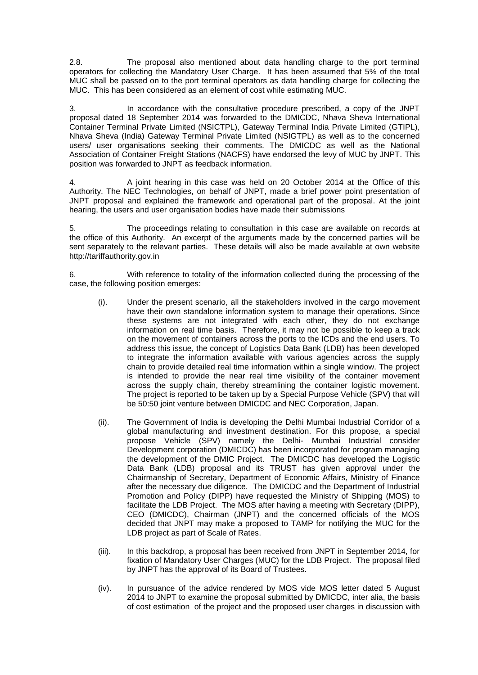2.8. The proposal also mentioned about data handling charge to the port terminal operators for collecting the Mandatory User Charge. It has been assumed that 5% of the total MUC shall be passed on to the port terminal operators as data handling charge for collecting the MUC. This has been considered as an element of cost while estimating MUC.

3. In accordance with the consultative procedure prescribed, a copy of the JNPT proposal dated 18 September 2014 was forwarded to the DMICDC, Nhava Sheva International Container Terminal Private Limited (NSICTPL), Gateway Terminal India Private Limited (GTIPL), Nhava Sheva (India) Gateway Terminal Private Limited (NSIGTPL) as well as to the concerned users/ user organisations seeking their comments. The DMICDC as well as the National Association of Container Freight Stations (NACFS) have endorsed the levy of MUC by JNPT. This position was forwarded to JNPT as feedback information.

4. A joint hearing in this case was held on 20 October 2014 at the Office of this Authority. The NEC Technologies, on behalf of JNPT, made a brief power point presentation of JNPT proposal and explained the framework and operational part of the proposal. At the joint hearing, the users and user organisation bodies have made their submissions

5. The proceedings relating to consultation in this case are available on records at the office of this Authority. An excerpt of the arguments made by the concerned parties will be sent separately to the relevant parties. These details will also be made available at own website http://tariffauthority.gov.in

6. With reference to totality of the information collected during the processing of the case, the following position emerges:

- (i). Under the present scenario, all the stakeholders involved in the cargo movement have their own standalone information system to manage their operations. Since these systems are not integrated with each other, they do not exchange information on real time basis. Therefore, it may not be possible to keep a track on the movement of containers across the ports to the ICDs and the end users. To address this issue, the concept of Logistics Data Bank (LDB) has been developed to integrate the information available with various agencies across the supply chain to provide detailed real time information within a single window. The project is intended to provide the near real time visibility of the container movement across the supply chain, thereby streamlining the container logistic movement. The project is reported to be taken up by a Special Purpose Vehicle (SPV) that will be 50:50 joint venture between DMICDC and NEC Corporation, Japan.
- (ii). The Government of India is developing the Delhi Mumbai Industrial Corridor of a global manufacturing and investment destination. For this propose, a special propose Vehicle (SPV) namely the Delhi- Mumbai Industrial consider Development corporation (DMICDC) has been incorporated for program managing the development of the DMIC Project. The DMICDC has developed the Logistic Data Bank (LDB) proposal and its TRUST has given approval under the Chairmanship of Secretary, Department of Economic Affairs, Ministry of Finance after the necessary due diligence. The DMICDC and the Department of Industrial Promotion and Policy (DIPP) have requested the Ministry of Shipping (MOS) to facilitate the LDB Project. The MOS after having a meeting with Secretary (DIPP), CEO (DMICDC), Chairman (JNPT) and the concerned officials of the MOS decided that JNPT may make a proposed to TAMP for notifying the MUC for the LDB project as part of Scale of Rates.
- (iii). In this backdrop, a proposal has been received from JNPT in September 2014, for fixation of Mandatory User Charges (MUC) for the LDB Project. The proposal filed by JNPT has the approval of its Board of Trustees.
- (iv). In pursuance of the advice rendered by MOS vide MOS letter dated 5 August 2014 to JNPT to examine the proposal submitted by DMICDC, inter alia, the basis of cost estimation of the project and the proposed user charges in discussion with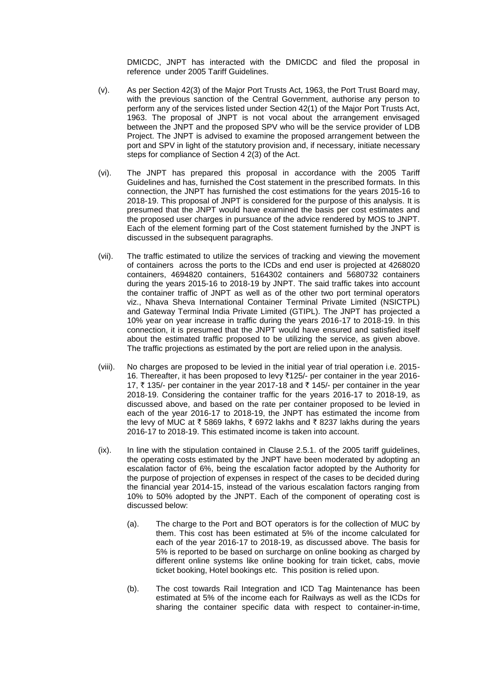DMICDC, JNPT has interacted with the DMICDC and filed the proposal in reference under 2005 Tariff Guidelines.

- (v). As per Section 42(3) of the Major Port Trusts Act, 1963, the Port Trust Board may, with the previous sanction of the Central Government, authorise any person to perform any of the services listed under Section 42(1) of the Major Port Trusts Act, 1963. The proposal of JNPT is not vocal about the arrangement envisaged between the JNPT and the proposed SPV who will be the service provider of LDB Project. The JNPT is advised to examine the proposed arrangement between the port and SPV in light of the statutory provision and, if necessary, initiate necessary steps for compliance of Section 4 2(3) of the Act.
- (vi). The JNPT has prepared this proposal in accordance with the 2005 Tariff Guidelines and has, furnished the Cost statement in the prescribed formats. In this connection, the JNPT has furnished the cost estimations for the years 2015-16 to 2018-19. This proposal of JNPT is considered for the purpose of this analysis. It is presumed that the JNPT would have examined the basis per cost estimates and the proposed user charges in pursuance of the advice rendered by MOS to JNPT. Each of the element forming part of the Cost statement furnished by the JNPT is discussed in the subsequent paragraphs.
- (vii). The traffic estimated to utilize the services of tracking and viewing the movement of containers across the ports to the ICDs and end user is projected at 4268020 containers, 4694820 containers, 5164302 containers and 5680732 containers during the years 2015-16 to 2018-19 by JNPT. The said traffic takes into account the container traffic of JNPT as well as of the other two port terminal operators viz., Nhava Sheva International Container Terminal Private Limited (NSICTPL) and Gateway Terminal India Private Limited (GTIPL). The JNPT has projected a 10% year on year increase in traffic during the years 2016-17 to 2018-19. In this connection, it is presumed that the JNPT would have ensured and satisfied itself about the estimated traffic proposed to be utilizing the service, as given above. The traffic projections as estimated by the port are relied upon in the analysis.
- (viii). No charges are proposed to be levied in the initial year of trial operation i.e. 2015- 16. Thereafter, it has been proposed to levy ₹125/- per container in the year 2016-17,  $\bar{\tau}$  135/- per container in the year 2017-18 and  $\bar{\tau}$  145/- per container in the year 2018-19. Considering the container traffic for the years 2016-17 to 2018-19, as discussed above, and based on the rate per container proposed to be levied in each of the year 2016-17 to 2018-19, the JNPT has estimated the income from the levy of MUC at  $\bar{\tau}$  5869 lakhs,  $\bar{\tau}$  6972 lakhs and  $\bar{\tau}$  8237 lakhs during the years 2016-17 to 2018-19. This estimated income is taken into account.
- (ix). In line with the stipulation contained in Clause 2.5.1. of the 2005 tariff guidelines, the operating costs estimated by the JNPT have been moderated by adopting an escalation factor of 6%, being the escalation factor adopted by the Authority for the purpose of projection of expenses in respect of the cases to be decided during the financial year 2014-15, instead of the various escalation factors ranging from 10% to 50% adopted by the JNPT. Each of the component of operating cost is discussed below:
	- (a). The charge to the Port and BOT operators is for the collection of MUC by them. This cost has been estimated at 5% of the income calculated for each of the year 2016-17 to 2018-19, as discussed above. The basis for 5% is reported to be based on surcharge on online booking as charged by different online systems like online booking for train ticket, cabs, movie ticket booking, Hotel bookings etc. This position is relied upon.
	- (b). The cost towards Rail Integration and ICD Tag Maintenance has been estimated at 5% of the income each for Railways as well as the ICDs for sharing the container specific data with respect to container-in-time,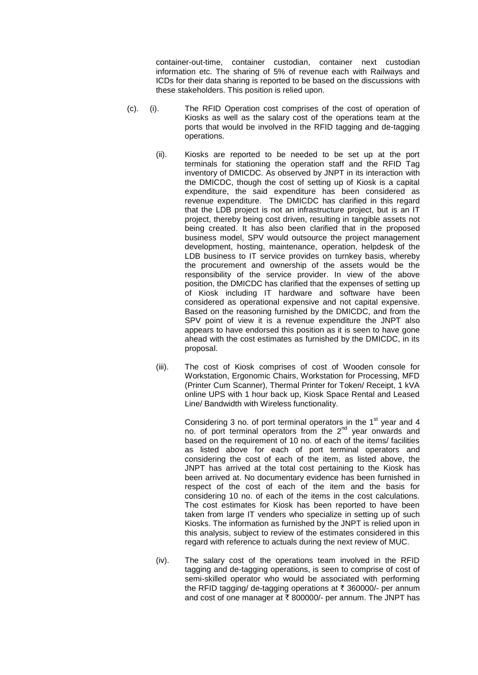container-out-time, container custodian, container next custodian information etc. The sharing of 5% of revenue each with Railways and ICDs for their data sharing is reported to be based on the discussions with these stakeholders. This position is relied upon.

- (c). (i). The RFID Operation cost comprises of the cost of operation of Kiosks as well as the salary cost of the operations team at the ports that would be involved in the RFID tagging and de-tagging operations.
	- (ii). Kiosks are reported to be needed to be set up at the port terminals for stationing the operation staff and the RFID Tag inventory of DMICDC. As observed by JNPT in its interaction with the DMICDC, though the cost of setting up of Kiosk is a capital expenditure, the said expenditure has been considered as revenue expenditure. The DMICDC has clarified in this regard that the LDB project is not an infrastructure project, but is an IT project, thereby being cost driven, resulting in tangible assets not being created. It has also been clarified that in the proposed business model, SPV would outsource the project management development, hosting, maintenance, operation, helpdesk of the LDB business to IT service provides on turnkey basis, whereby the procurement and ownership of the assets would be the responsibility of the service provider. In view of the above position, the DMICDC has clarified that the expenses of setting up of Kiosk including IT hardware and software have been considered as operational expensive and not capital expensive. Based on the reasoning furnished by the DMICDC, and from the SPV point of view it is a revenue expenditure the JNPT also appears to have endorsed this position as it is seen to have gone ahead with the cost estimates as furnished by the DMICDC, in its proposal.
	- (iii). The cost of Kiosk comprises of cost of Wooden console for Workstation, Ergonomic Chairs, Workstation for Processing, MFD (Printer Cum Scanner), Thermal Printer for Token/ Receipt, 1 kVA online UPS with 1 hour back up, Kiosk Space Rental and Leased Line/ Bandwidth with Wireless functionality.

Considering 3 no. of port terminal operators in the  $1<sup>st</sup>$  year and 4 no. of port terminal operators from the  $2^{nd}$  year onwards and based on the requirement of 10 no. of each of the items/ facilities as listed above for each of port terminal operators and considering the cost of each of the item, as listed above, the JNPT has arrived at the total cost pertaining to the Kiosk has been arrived at. No documentary evidence has been furnished in respect of the cost of each of the item and the basis for considering 10 no. of each of the items in the cost calculations. The cost estimates for Kiosk has been reported to have been taken from large IT venders who specialize in setting up of such Kiosks. The information as furnished by the JNPT is relied upon in this analysis, subject to review of the estimates considered in this regard with reference to actuals during the next review of MUC.

(iv). The salary cost of the operations team involved in the RFID tagging and de-tagging operations, is seen to comprise of cost of semi-skilled operator who would be associated with performing the RFID tagging/ de-tagging operations at  $\bar{\tau}$  360000/- per annum and cost of one manager at  $\bar{\tau}$  800000/- per annum. The JNPT has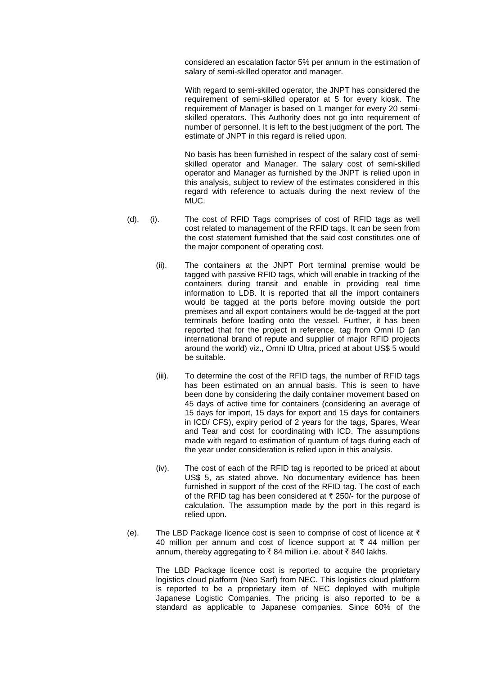considered an escalation factor 5% per annum in the estimation of salary of semi-skilled operator and manager.

With regard to semi-skilled operator, the JNPT has considered the requirement of semi-skilled operator at 5 for every kiosk. The requirement of Manager is based on 1 manger for every 20 semiskilled operators. This Authority does not go into requirement of number of personnel. It is left to the best judgment of the port. The estimate of JNPT in this regard is relied upon.

No basis has been furnished in respect of the salary cost of semiskilled operator and Manager. The salary cost of semi-skilled operator and Manager as furnished by the JNPT is relied upon in this analysis, subject to review of the estimates considered in this regard with reference to actuals during the next review of the MUC.

- (d). (i). The cost of RFID Tags comprises of cost of RFID tags as well cost related to management of the RFID tags. It can be seen from the cost statement furnished that the said cost constitutes one of the major component of operating cost.
	- (ii). The containers at the JNPT Port terminal premise would be tagged with passive RFID tags, which will enable in tracking of the containers during transit and enable in providing real time information to LDB. It is reported that all the import containers would be tagged at the ports before moving outside the port premises and all export containers would be de-tagged at the port terminals before loading onto the vessel. Further, it has been reported that for the project in reference, tag from Omni ID (an international brand of repute and supplier of major RFID projects around the world) viz., Omni ID Ultra, priced at about US\$ 5 would be suitable.
	- (iii). To determine the cost of the RFID tags, the number of RFID tags has been estimated on an annual basis. This is seen to have been done by considering the daily container movement based on 45 days of active time for containers (considering an average of 15 days for import, 15 days for export and 15 days for containers in ICD/ CFS), expiry period of 2 years for the tags, Spares, Wear and Tear and cost for coordinating with ICD. The assumptions made with regard to estimation of quantum of tags during each of the year under consideration is relied upon in this analysis.
	- (iv). The cost of each of the RFID tag is reported to be priced at about US\$ 5, as stated above. No documentary evidence has been furnished in support of the cost of the RFID tag. The cost of each of the RFID tag has been considered at  $\bar{\tau}$  250/- for the purpose of calculation. The assumption made by the port in this regard is relied upon.
- (e). The LBD Package licence cost is seen to comprise of cost of licence at  $\bar{\tau}$ 40 million per annum and cost of licence support at  $\bar{\tau}$  44 million per annum, thereby aggregating to ₹84 million i.e. about ₹840 lakhs.

The LBD Package licence cost is reported to acquire the proprietary logistics cloud platform (Neo Sarf) from NEC. This logistics cloud platform is reported to be a proprietary item of NEC deployed with multiple Japanese Logistic Companies. The pricing is also reported to be a standard as applicable to Japanese companies. Since 60% of the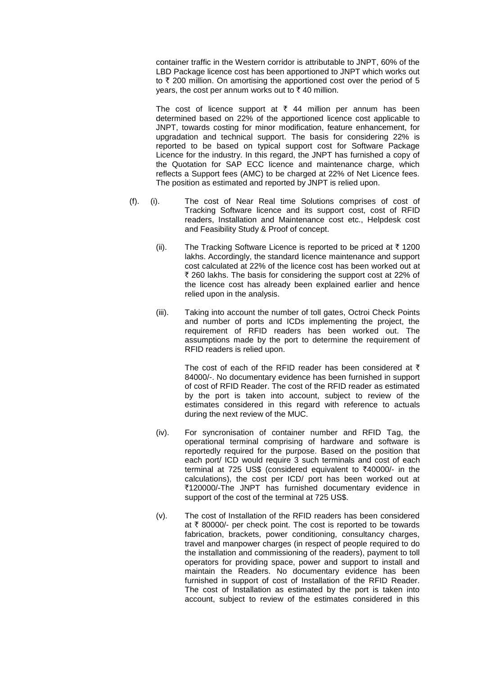container traffic in the Western corridor is attributable to JNPT, 60% of the LBD Package licence cost has been apportioned to JNPT which works out to  $\bar{\tau}$  200 million. On amortising the apportioned cost over the period of 5 years, the cost per annum works out to  $\bar{\tau}$  40 million.

The cost of licence support at  $\bar{\tau}$  44 million per annum has been determined based on 22% of the apportioned licence cost applicable to JNPT, towards costing for minor modification, feature enhancement, for upgradation and technical support. The basis for considering 22% is reported to be based on typical support cost for Software Package Licence for the industry. In this regard, the JNPT has furnished a copy of the Quotation for SAP ECC licence and maintenance charge, which reflects a Support fees (AMC) to be charged at 22% of Net Licence fees. The position as estimated and reported by JNPT is relied upon.

- (f). (i). The cost of Near Real time Solutions comprises of cost of Tracking Software licence and its support cost, cost of RFID readers, Installation and Maintenance cost etc., Helpdesk cost and Feasibility Study & Proof of concept.
	- (ii). The Tracking Software Licence is reported to be priced at  $\bar{\tau}$  1200 lakhs. Accordingly, the standard licence maintenance and support cost calculated at 22% of the licence cost has been worked out at ₹ 260 lakhs. The basis for considering the support cost at 22% of the licence cost has already been explained earlier and hence relied upon in the analysis.
	- (iii). Taking into account the number of toll gates, Octroi Check Points and number of ports and ICDs implementing the project, the requirement of RFID readers has been worked out. The assumptions made by the port to determine the requirement of RFID readers is relied upon.

The cost of each of the RFID reader has been considered at  $\bar{\tau}$ 84000/-. No documentary evidence has been furnished in support of cost of RFID Reader. The cost of the RFID reader as estimated by the port is taken into account, subject to review of the estimates considered in this regard with reference to actuals during the next review of the MUC.

- (iv). For syncronisation of container number and RFID Tag, the operational terminal comprising of hardware and software is reportedly required for the purpose. Based on the position that each port/ ICD would require 3 such terminals and cost of each terminal at 725 US\$ (considered equivalent to  $\bar{\tau}$ 40000/- in the calculations), the cost per ICD/ port has been worked out at `120000/-The JNPT has furnished documentary evidence in support of the cost of the terminal at 725 US\$.
- (v). The cost of Installation of the RFID readers has been considered at  $\bar{\tau}$  80000/- per check point. The cost is reported to be towards fabrication, brackets, power conditioning, consultancy charges, travel and manpower charges (in respect of people required to do the installation and commissioning of the readers), payment to toll operators for providing space, power and support to install and maintain the Readers. No documentary evidence has been furnished in support of cost of Installation of the RFID Reader. The cost of Installation as estimated by the port is taken into account, subject to review of the estimates considered in this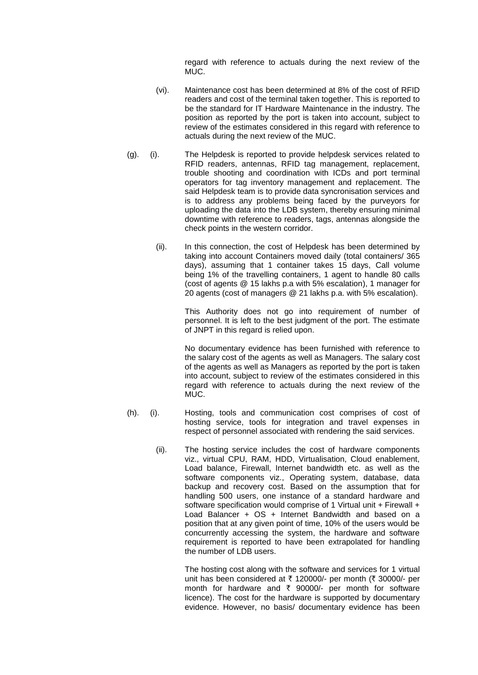regard with reference to actuals during the next review of the MUC.

- (vi). Maintenance cost has been determined at 8% of the cost of RFID readers and cost of the terminal taken together. This is reported to be the standard for IT Hardware Maintenance in the industry. The position as reported by the port is taken into account, subject to review of the estimates considered in this regard with reference to actuals during the next review of the MUC.
- (g). (i). The Helpdesk is reported to provide helpdesk services related to RFID readers, antennas, RFID tag management, replacement, trouble shooting and coordination with ICDs and port terminal operators for tag inventory management and replacement. The said Helpdesk team is to provide data syncronisation services and is to address any problems being faced by the purveyors for uploading the data into the LDB system, thereby ensuring minimal downtime with reference to readers, tags, antennas alongside the check points in the western corridor.
	- (ii). In this connection, the cost of Helpdesk has been determined by taking into account Containers moved daily (total containers/ 365 days), assuming that 1 container takes 15 days, Call volume being 1% of the travelling containers, 1 agent to handle 80 calls (cost of agents @ 15 lakhs p.a with 5% escalation), 1 manager for 20 agents (cost of managers @ 21 lakhs p.a. with 5% escalation).

This Authority does not go into requirement of number of personnel. It is left to the best judgment of the port. The estimate of JNPT in this regard is relied upon.

No documentary evidence has been furnished with reference to the salary cost of the agents as well as Managers. The salary cost of the agents as well as Managers as reported by the port is taken into account, subject to review of the estimates considered in this regard with reference to actuals during the next review of the MUC.

- (h). (i). Hosting, tools and communication cost comprises of cost of hosting service, tools for integration and travel expenses in respect of personnel associated with rendering the said services.
	- (ii). The hosting service includes the cost of hardware components viz., virtual CPU, RAM, HDD, Virtualisation, Cloud enablement, Load balance, Firewall, Internet bandwidth etc. as well as the software components viz., Operating system, database, data backup and recovery cost. Based on the assumption that for handling 500 users, one instance of a standard hardware and software specification would comprise of 1 Virtual unit + Firewall + Load Balancer + OS + Internet Bandwidth and based on a position that at any given point of time, 10% of the users would be concurrently accessing the system, the hardware and software requirement is reported to have been extrapolated for handling the number of LDB users.

The hosting cost along with the software and services for 1 virtual unit has been considered at  $\bar{\tau}$  120000/- per month ( $\bar{\tau}$  30000/- per month for hardware and  $\bar{\tau}$  90000/- per month for software licence). The cost for the hardware is supported by documentary evidence. However, no basis/ documentary evidence has been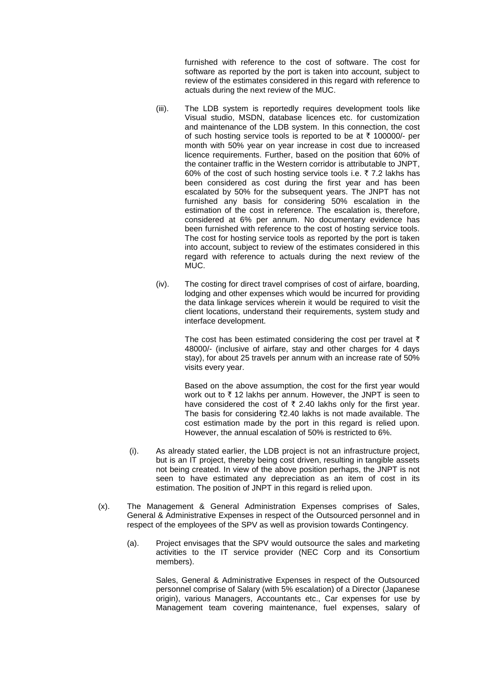furnished with reference to the cost of software. The cost for software as reported by the port is taken into account, subject to review of the estimates considered in this regard with reference to actuals during the next review of the MUC.

- (iii). The LDB system is reportedly requires development tools like Visual studio, MSDN, database licences etc. for customization and maintenance of the LDB system. In this connection, the cost of such hosting service tools is reported to be at  $\bar{\tau}$  100000/- per month with 50% year on year increase in cost due to increased licence requirements. Further, based on the position that 60% of the container traffic in the Western corridor is attributable to JNPT, 60% of the cost of such hosting service tools i.e.  $\bar{\tau}$  7.2 lakhs has been considered as cost during the first year and has been escalated by 50% for the subsequent years. The JNPT has not furnished any basis for considering 50% escalation in the estimation of the cost in reference. The escalation is, therefore, considered at 6% per annum. No documentary evidence has been furnished with reference to the cost of hosting service tools. The cost for hosting service tools as reported by the port is taken into account, subject to review of the estimates considered in this regard with reference to actuals during the next review of the MUC.
- (iv). The costing for direct travel comprises of cost of airfare, boarding, lodging and other expenses which would be incurred for providing the data linkage services wherein it would be required to visit the client locations, understand their requirements, system study and interface development.

The cost has been estimated considering the cost per travel at  $\bar{\tau}$ 48000/- (inclusive of airfare, stay and other charges for 4 days stay), for about 25 travels per annum with an increase rate of 50% visits every year.

Based on the above assumption, the cost for the first year would work out to  $\bar{\tau}$  12 lakhs per annum. However, the JNPT is seen to have considered the cost of  $\bar{\tau}$  2.40 lakhs only for the first year. The basis for considering  $\overline{z}$ 2.40 lakhs is not made available. The cost estimation made by the port in this regard is relied upon. However, the annual escalation of 50% is restricted to 6%.

- (i). As already stated earlier, the LDB project is not an infrastructure project, but is an IT project, thereby being cost driven, resulting in tangible assets not being created. In view of the above position perhaps, the JNPT is not seen to have estimated any depreciation as an item of cost in its estimation. The position of JNPT in this regard is relied upon.
- (x). The Management & General Administration Expenses comprises of Sales, General & Administrative Expenses in respect of the Outsourced personnel and in respect of the employees of the SPV as well as provision towards Contingency.
	- (a). Project envisages that the SPV would outsource the sales and marketing activities to the IT service provider (NEC Corp and its Consortium members).

Sales, General & Administrative Expenses in respect of the Outsourced personnel comprise of Salary (with 5% escalation) of a Director (Japanese origin), various Managers, Accountants etc., Car expenses for use by Management team covering maintenance, fuel expenses, salary of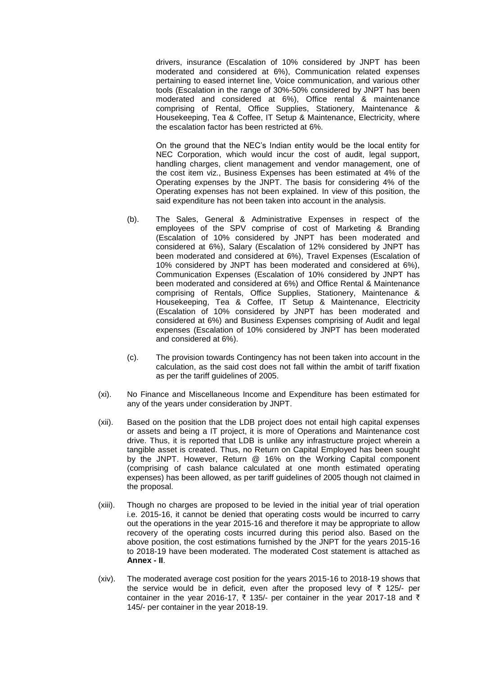drivers, insurance (Escalation of 10% considered by JNPT has been moderated and considered at 6%), Communication related expenses pertaining to eased internet line, Voice communication, and various other tools (Escalation in the range of 30%-50% considered by JNPT has been moderated and considered at 6%), Office rental & maintenance comprising of Rental, Office Supplies, Stationery, Maintenance & Housekeeping, Tea & Coffee, IT Setup & Maintenance, Electricity, where the escalation factor has been restricted at 6%.

On the ground that the NEC's Indian entity would be the local entity for NEC Corporation, which would incur the cost of audit, legal support, handling charges, client management and vendor management, one of the cost item viz., Business Expenses has been estimated at 4% of the Operating expenses by the JNPT. The basis for considering 4% of the Operating expenses has not been explained. In view of this position, the said expenditure has not been taken into account in the analysis.

- (b). The Sales, General & Administrative Expenses in respect of the employees of the SPV comprise of cost of Marketing & Branding (Escalation of 10% considered by JNPT has been moderated and considered at 6%), Salary (Escalation of 12% considered by JNPT has been moderated and considered at 6%), Travel Expenses (Escalation of 10% considered by JNPT has been moderated and considered at 6%), Communication Expenses (Escalation of 10% considered by JNPT has been moderated and considered at 6%) and Office Rental & Maintenance comprising of Rentals, Office Supplies, Stationery, Maintenance & Housekeeping, Tea & Coffee, IT Setup & Maintenance, Electricity (Escalation of 10% considered by JNPT has been moderated and considered at 6%) and Business Expenses comprising of Audit and legal expenses (Escalation of 10% considered by JNPT has been moderated and considered at 6%).
- (c). The provision towards Contingency has not been taken into account in the calculation, as the said cost does not fall within the ambit of tariff fixation as per the tariff guidelines of 2005.
- (xi). No Finance and Miscellaneous Income and Expenditure has been estimated for any of the years under consideration by JNPT.
- (xii). Based on the position that the LDB project does not entail high capital expenses or assets and being a IT project, it is more of Operations and Maintenance cost drive. Thus, it is reported that LDB is unlike any infrastructure project wherein a tangible asset is created. Thus, no Return on Capital Employed has been sought by the JNPT. However, Return @ 16% on the Working Capital component (comprising of cash balance calculated at one month estimated operating expenses) has been allowed, as per tariff guidelines of 2005 though not claimed in the proposal.
- (xiii). Though no charges are proposed to be levied in the initial year of trial operation i.e. 2015-16, it cannot be denied that operating costs would be incurred to carry out the operations in the year 2015-16 and therefore it may be appropriate to allow recovery of the operating costs incurred during this period also. Based on the above position, the cost estimations furnished by the JNPT for the years 2015-16 to 2018-19 have been moderated. The moderated Cost statement is attached as **Annex - II**.
- (xiv). The moderated average cost position for the years 2015-16 to 2018-19 shows that the service would be in deficit, even after the proposed levy of  $\bar{\tau}$  125/- per container in the year 2016-17,  $\bar{\tau}$  135/- per container in the year 2017-18 and  $\bar{\tau}$ 145/- per container in the year 2018-19.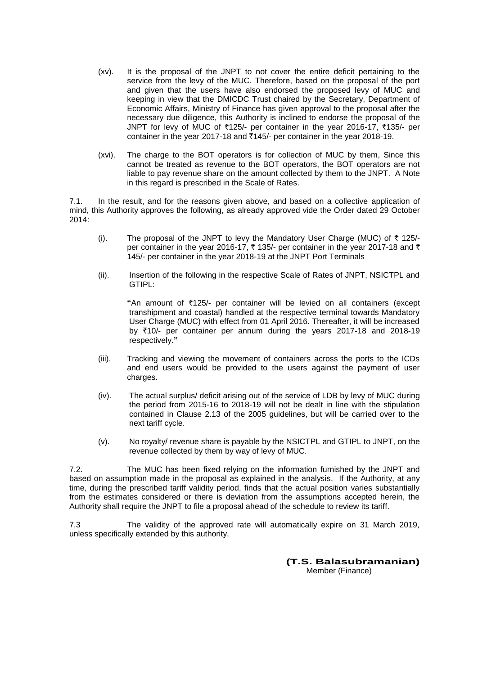- (xv). It is the proposal of the JNPT to not cover the entire deficit pertaining to the service from the levy of the MUC. Therefore, based on the proposal of the port and given that the users have also endorsed the proposed levy of MUC and keeping in view that the DMICDC Trust chaired by the Secretary, Department of Economic Affairs, Ministry of Finance has given approval to the proposal after the necessary due diligence, this Authority is inclined to endorse the proposal of the JNPT for levy of MUC of ₹125/- per container in the year 2016-17, ₹135/- per container in the year 2017-18 and  $\overline{2}145/3$ - per container in the year 2018-19.
- (xvi). The charge to the BOT operators is for collection of MUC by them, Since this cannot be treated as revenue to the BOT operators, the BOT operators are not liable to pay revenue share on the amount collected by them to the JNPT. A Note in this regard is prescribed in the Scale of Rates.

7.1. In the result, and for the reasons given above, and based on a collective application of mind, this Authority approves the following, as already approved vide the Order dated 29 October 2014:

- (i). The proposal of the JNPT to levy the Mandatory User Charge (MUC) of  $\bar{\tau}$  125/per container in the year 2016-17,  $\bar{\tau}$  135/- per container in the year 2017-18 and  $\bar{\tau}$ 145/- per container in the year 2018-19 at the JNPT Port Terminals
- (ii). Insertion of the following in the respective Scale of Rates of JNPT, NSICTPL and GTIPL:

**"**An amount of `125/- per container will be levied on all containers (except transhipment and coastal) handled at the respective terminal towards Mandatory User Charge (MUC) with effect from 01 April 2016. Thereafter, it will be increased by  $\overline{5}10$ /- per container per annum during the years 2017-18 and 2018-19 respectively.**"**

- (iii). Tracking and viewing the movement of containers across the ports to the ICDs and end users would be provided to the users against the payment of user charges.
- (iv). The actual surplus/ deficit arising out of the service of LDB by levy of MUC during the period from 2015-16 to 2018-19 will not be dealt in line with the stipulation contained in Clause 2.13 of the 2005 guidelines, but will be carried over to the next tariff cycle.
- (v). No royalty/ revenue share is payable by the NSICTPL and GTIPL to JNPT, on the revenue collected by them by way of levy of MUC.

7.2. The MUC has been fixed relying on the information furnished by the JNPT and based on assumption made in the proposal as explained in the analysis. If the Authority, at any time, during the prescribed tariff validity period, finds that the actual position varies substantially from the estimates considered or there is deviation from the assumptions accepted herein, the Authority shall require the JNPT to file a proposal ahead of the schedule to review its tariff.

7.3 The validity of the approved rate will automatically expire on 31 March 2019, unless specifically extended by this authority.

> **(T.S. Balasubramanian)** Member (Finance)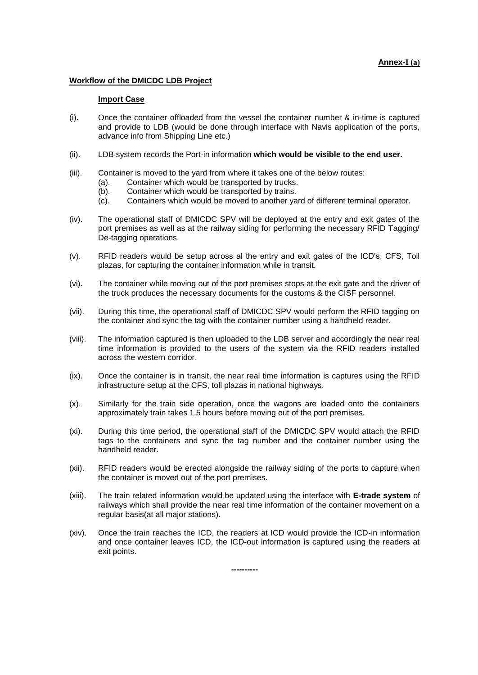#### **Annex-I (a)**

#### **Workflow of the DMICDC LDB Project**

#### **Import Case**

- (i). Once the container offloaded from the vessel the container number & in-time is captured and provide to LDB (would be done through interface with Navis application of the ports, advance info from Shipping Line etc.)
- (ii). LDB system records the Port-in information **which would be visible to the end user.**
- (iii). Container is moved to the yard from where it takes one of the below routes:
	- (a). Container which would be transported by trucks.
	- (b). Container which would be transported by trains.
	- (c). Containers which would be moved to another yard of different terminal operator.
- (iv). The operational staff of DMICDC SPV will be deployed at the entry and exit gates of the port premises as well as at the railway siding for performing the necessary RFID Tagging/ De-tagging operations.
- (v). RFID readers would be setup across al the entry and exit gates of the ICD's, CFS, Toll plazas, for capturing the container information while in transit.
- (vi). The container while moving out of the port premises stops at the exit gate and the driver of the truck produces the necessary documents for the customs & the CISF personnel.
- (vii). During this time, the operational staff of DMICDC SPV would perform the RFID tagging on the container and sync the tag with the container number using a handheld reader.
- (viii). The information captured is then uploaded to the LDB server and accordingly the near real time information is provided to the users of the system via the RFID readers installed across the western corridor.
- (ix). Once the container is in transit, the near real time information is captures using the RFID infrastructure setup at the CFS, toll plazas in national highways.
- (x). Similarly for the train side operation, once the wagons are loaded onto the containers approximately train takes 1.5 hours before moving out of the port premises.
- (xi). During this time period, the operational staff of the DMICDC SPV would attach the RFID tags to the containers and sync the tag number and the container number using the handheld reader.
- (xii). RFID readers would be erected alongside the railway siding of the ports to capture when the container is moved out of the port premises.
- (xiii). The train related information would be updated using the interface with **E-trade system** of railways which shall provide the near real time information of the container movement on a regular basis(at all major stations).
- (xiv). Once the train reaches the ICD, the readers at ICD would provide the ICD-in information and once container leaves ICD, the ICD-out information is captured using the readers at exit points.

**----------**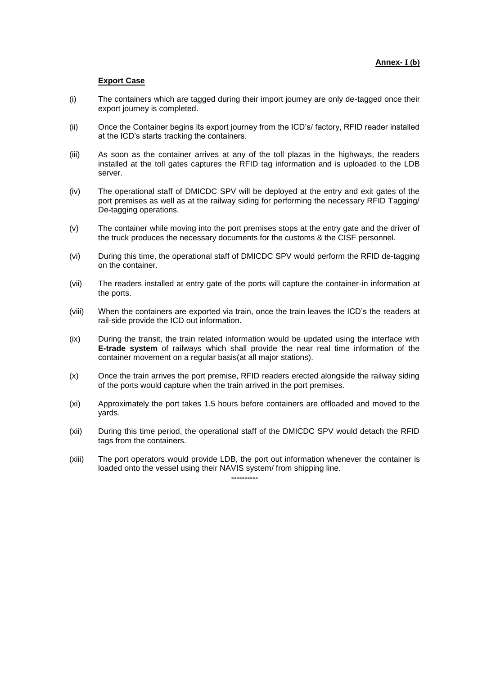#### **Export Case**

- (i) The containers which are tagged during their import journey are only de-tagged once their export journey is completed.
- (ii) Once the Container begins its export journey from the ICD's/ factory, RFID reader installed at the ICD's starts tracking the containers.
- (iii) As soon as the container arrives at any of the toll plazas in the highways, the readers installed at the toll gates captures the RFID tag information and is uploaded to the LDB server.
- (iv) The operational staff of DMICDC SPV will be deployed at the entry and exit gates of the port premises as well as at the railway siding for performing the necessary RFID Tagging/ De-tagging operations.
- (v) The container while moving into the port premises stops at the entry gate and the driver of the truck produces the necessary documents for the customs & the CISF personnel.
- (vi) During this time, the operational staff of DMICDC SPV would perform the RFID de-tagging on the container.
- (vii) The readers installed at entry gate of the ports will capture the container-in information at the ports.
- (viii) When the containers are exported via train, once the train leaves the ICD's the readers at rail-side provide the ICD out information.
- (ix) During the transit, the train related information would be updated using the interface with **E-trade system** of railways which shall provide the near real time information of the container movement on a regular basis(at all major stations).
- (x) Once the train arrives the port premise, RFID readers erected alongside the railway siding of the ports would capture when the train arrived in the port premises.
- (xi) Approximately the port takes 1.5 hours before containers are offloaded and moved to the yards.
- (xii) During this time period, the operational staff of the DMICDC SPV would detach the RFID tags from the containers.
- (xiii) The port operators would provide LDB, the port out information whenever the container is loaded onto the vessel using their NAVIS system/ from shipping line.

**----------**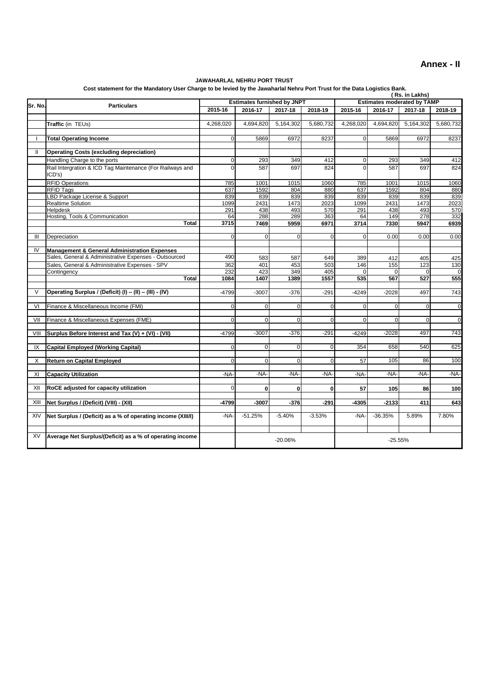#### **Annex - II**

#### **JAWAHARLAL NEHRU PORT TRUST**

**Cost statement for the Mandatory User Charge to be levied by the Jawaharlal Nehru Port Trust for the Data Logistics Bank.**

|              | soon shared by the prince by the sentencial rechter of these for the seate Evg.<br>(Rs. in Lakhs) |                |                                    |             |             |                |                                    |                 |                    |  |
|--------------|---------------------------------------------------------------------------------------------------|----------------|------------------------------------|-------------|-------------|----------------|------------------------------------|-----------------|--------------------|--|
| Sr. No.      | <b>Particulars</b>                                                                                |                | <b>Estimates furnished by JNPT</b> |             |             |                | <b>Estimates moderated by TAMP</b> |                 |                    |  |
|              |                                                                                                   |                | 2016-17                            | 2017-18     | 2018-19     | 2015-16        | 2016-17                            | 2017-18         | 2018-19            |  |
|              |                                                                                                   |                |                                    |             |             |                |                                    |                 |                    |  |
|              | Traffic (in TEUs)                                                                                 | 4,268,020      | 4,694,820                          | 5,164,302   | 5,680,732   | 4,268,020      | 4,694,820                          | 5,164,302       | 5,680,732          |  |
| $\mathbf{I}$ | <b>Total Operating Income</b>                                                                     | $\Omega$       | 5869                               | 6972        | 8237        | $\Omega$       | 5869                               | 6972            | 8237               |  |
|              |                                                                                                   |                |                                    |             |             |                |                                    |                 |                    |  |
| $\mathbf{I}$ | <b>Operating Costs (excluding depreciation)</b>                                                   |                |                                    |             |             |                |                                    |                 |                    |  |
|              | Handling Charge to the ports                                                                      | $\overline{0}$ | 293                                | 349         | 412         | $\overline{0}$ | 293                                | 349             | 412                |  |
|              | Rail Intergration & ICD Tag Maintenance (For Railways and                                         | $\Omega$       | 587                                | 697         | 824         | 0              | 587                                | 697             | 824                |  |
|              | ICD's                                                                                             |                |                                    |             |             |                |                                    |                 |                    |  |
|              | <b>RFID Operations</b>                                                                            | 785            | 1001                               | 1015        | 1060        | 785            | 1001                               | 1015            | 1060               |  |
|              | <b>RFID Tags</b>                                                                                  | 637            | 1592                               | 804         | 880         | 637            | 1592                               | 804             | 880                |  |
|              | LBD Package License & Support                                                                     | 839            | 839                                | 839         | 839         | 839            | 839                                | 839             | 839                |  |
|              | <b>Realtime Solution</b>                                                                          | 1099           | 2431                               | 1473        | 2023        | 1099           | 2431                               | 1473            | 2023               |  |
|              | Helpdesk<br>Hosting, Tools & Communication                                                        | 291<br>64      | 438<br>288                         | 493<br>289  | 570<br>363  | 291<br>64      | 438<br>149                         | 493<br>278      | 570<br>332         |  |
|              | <b>Total</b>                                                                                      | 3715           | 7469                               | 5959        | 6971        | 3714           | 7330                               | 5947            | 6939               |  |
|              |                                                                                                   |                |                                    |             |             |                |                                    |                 |                    |  |
| Ш            | Depreciation                                                                                      | $\Omega$       | $\overline{0}$                     | $\Omega$    | $\Omega$    | $\Omega$       | 0.00                               | 0.00            | 0.00               |  |
|              |                                                                                                   |                |                                    |             |             |                |                                    |                 |                    |  |
| IV           | <b>Management &amp; General Administration Expenses</b>                                           |                |                                    |             |             |                |                                    |                 |                    |  |
|              | Sales, General & Administrative Expenses - Outsourced                                             | 490            | 583                                | 587         | 649         | 389            | 412                                | 405             | 425                |  |
|              | Sales, General & Administrative Expenses - SPV                                                    | 362            | 401                                | 453         | 503         | 146            | 155                                | 123             | 130                |  |
|              | Contingency<br>Total                                                                              | 232<br>1084    | 423<br>1407                        | 349<br>1389 | 405<br>1557 | 535            | $\Omega$<br>567                    | $\Omega$<br>527 | $\mathbf 0$<br>555 |  |
|              |                                                                                                   |                |                                    |             |             |                |                                    |                 |                    |  |
| $\vee$       | Operating Surplus / (Deficit) (I) - (II) - (III) - (IV)                                           | $-4799$        | $-3007$                            | $-376$      | $-291$      | $-4249$        | $-2028$                            | 497             | 743                |  |
|              |                                                                                                   |                |                                    |             |             |                |                                    |                 |                    |  |
| VI           | Finance & Miscellaneous Income (FMI)                                                              | $\Omega$       | $\overline{0}$                     | $\Omega$    | $\Omega$    | $\Omega$       | $\Omega$                           | $\Omega$        | $\mathbf 0$        |  |
|              |                                                                                                   |                |                                    |             |             |                |                                    |                 |                    |  |
| VII          | Finance & Miscellaneous Expenses (FME)                                                            | $\Omega$       | $\overline{0}$                     | $\mathbf 0$ | $\Omega$    | 0              | $\Omega$                           | $\overline{0}$  | $\mathbf 0$        |  |
| VIII         | Surplus Before Interest and Tax (V) + (VI) - (VII)                                                | $-4799$        | $-3007$                            | $-376$      | $-291$      | $-4249$        | $-2028$                            | 497             | 743                |  |
|              |                                                                                                   |                |                                    |             |             |                |                                    |                 |                    |  |
| IX           | <b>Capital Employed (Working Capital)</b>                                                         | $\Omega$       | $\overline{0}$                     | $\mathbf 0$ | $\Omega$    | 354            | 658                                | 540             | 625                |  |
|              |                                                                                                   |                |                                    |             |             |                |                                    |                 |                    |  |
| Χ            | <b>Return on Capital Employed</b>                                                                 | $\Omega$       | $\Omega$                           | $\Omega$    | $\Omega$    | 57             | 105                                | 86              | 100                |  |
|              |                                                                                                   |                |                                    |             |             |                |                                    |                 |                    |  |
| XI           | <b>Capacity Utilization</b>                                                                       | -NA-           | -NA-                               | -NA-        | -NA-        | -NA-           | -NA-                               | -NA-            | -NA-               |  |
| XII          | RoCE adjusted for capacity utilization                                                            | $\Omega$       | $\bf{0}$                           | 0           | $\bf{0}$    |                |                                    |                 |                    |  |
|              |                                                                                                   |                |                                    |             |             | 57             | 105                                | 86              | 100                |  |
| XIII         | Net Surplus / (Deficit) (VIII) - (XII)                                                            | -4799          | $-3007$                            | $-376$      | $-291$      | $-4305$        | $-2133$                            | 411             | 643                |  |
|              |                                                                                                   |                |                                    |             |             |                |                                    |                 |                    |  |
| XIV          | Net Surplus / (Deficit) as a % of operating income (XIII/I)                                       | -NA-           | $-51.25%$                          | $-5.40%$    | $-3.53%$    | $-NA-$         | $-36.35%$                          | 5.89%           | 7.80%              |  |
|              |                                                                                                   |                |                                    |             |             |                |                                    |                 |                    |  |
|              |                                                                                                   |                |                                    |             |             |                |                                    |                 |                    |  |
| XV           | Average Net Surplus/(Deficit) as a % of operating income                                          |                |                                    | $-20.06%$   |             |                | $-25.55%$                          |                 |                    |  |
|              |                                                                                                   |                |                                    |             |             |                |                                    |                 |                    |  |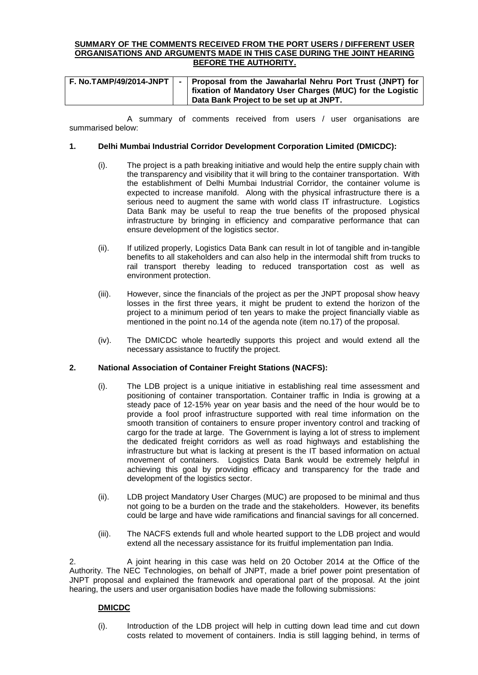#### **SUMMARY OF THE COMMENTS RECEIVED FROM THE PORT USERS / DIFFERENT USER ORGANISATIONS AND ARGUMENTS MADE IN THIS CASE DURING THE JOINT HEARING BEFORE THE AUTHORITY.**

|  | F. No.TAMP/49/2014-JNPT   -   Proposal from the Jawaharlal Nehru Port Trust (JNPT) for<br>  fixation of Mandatory User Charges (MUC) for the Logistic |
|--|-------------------------------------------------------------------------------------------------------------------------------------------------------|
|  | Data Bank Project to be set up at JNPT.                                                                                                               |

A summary of comments received from users / user organisations are summarised below:

#### **1. Delhi Mumbai Industrial Corridor Development Corporation Limited (DMICDC):**

- (i). The project is a path breaking initiative and would help the entire supply chain with the transparency and visibility that it will bring to the container transportation. With the establishment of Delhi Mumbai Industrial Corridor, the container volume is expected to increase manifold. Along with the physical infrastructure there is a serious need to augment the same with world class IT infrastructure. Logistics Data Bank may be useful to reap the true benefits of the proposed physical infrastructure by bringing in efficiency and comparative performance that can ensure development of the logistics sector.
- (ii). If utilized properly, Logistics Data Bank can result in lot of tangible and in-tangible benefits to all stakeholders and can also help in the intermodal shift from trucks to rail transport thereby leading to reduced transportation cost as well as environment protection.
- (iii). However, since the financials of the project as per the JNPT proposal show heavy losses in the first three years, it might be prudent to extend the horizon of the project to a minimum period of ten years to make the project financially viable as mentioned in the point no.14 of the agenda note (item no.17) of the proposal.
- (iv). The DMICDC whole heartedly supports this project and would extend all the necessary assistance to fructify the project.

#### **2. National Association of Container Freight Stations (NACFS):**

- (i). The LDB project is a unique initiative in establishing real time assessment and positioning of container transportation. Container traffic in India is growing at a steady pace of 12-15% year on year basis and the need of the hour would be to provide a fool proof infrastructure supported with real time information on the smooth transition of containers to ensure proper inventory control and tracking of cargo for the trade at large. The Government is laying a lot of stress to implement the dedicated freight corridors as well as road highways and establishing the infrastructure but what is lacking at present is the IT based information on actual movement of containers. Logistics Data Bank would be extremely helpful in achieving this goal by providing efficacy and transparency for the trade and development of the logistics sector.
- (ii). LDB project Mandatory User Charges (MUC) are proposed to be minimal and thus not going to be a burden on the trade and the stakeholders. However, its benefits could be large and have wide ramifications and financial savings for all concerned.
- (iii). The NACFS extends full and whole hearted support to the LDB project and would extend all the necessary assistance for its fruitful implementation pan India.

2. A joint hearing in this case was held on 20 October 2014 at the Office of the Authority. The NEC Technologies, on behalf of JNPT, made a brief power point presentation of JNPT proposal and explained the framework and operational part of the proposal. At the joint hearing, the users and user organisation bodies have made the following submissions:

#### **DMICDC**

(i). Introduction of the LDB project will help in cutting down lead time and cut down costs related to movement of containers. India is still lagging behind, in terms of